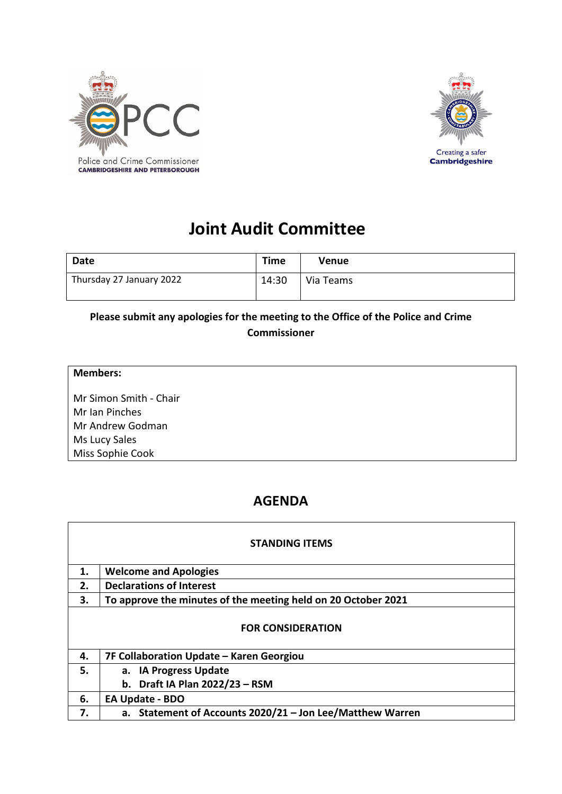



## **Joint Audit Committee**

| <b>Date</b>              | <b>Time</b> | <b>Venue</b> |
|--------------------------|-------------|--------------|
| Thursday 27 January 2022 | 14:30       | Via Teams    |

## **Please submit any apologies for the meeting to the Office of the Police and Crime Commissioner**

| <b>Members:</b>        |  |
|------------------------|--|
| Mr Simon Smith - Chair |  |
| Mr Ian Pinches         |  |
| Mr Andrew Godman       |  |
| Ms Lucy Sales          |  |
| Miss Sophie Cook       |  |
|                        |  |

## **AGENDA**

| <b>STANDING ITEMS</b>    |                                                               |  |
|--------------------------|---------------------------------------------------------------|--|
| 1.                       | <b>Welcome and Apologies</b>                                  |  |
| 2.                       | <b>Declarations of Interest</b>                               |  |
| З.                       | To approve the minutes of the meeting held on 20 October 2021 |  |
| <b>FOR CONSIDERATION</b> |                                                               |  |
| 4.                       | 7F Collaboration Update - Karen Georgiou                      |  |
| 5.                       | a. IA Progress Update                                         |  |
|                          | b. Draft IA Plan 2022/23 - RSM                                |  |
| 6.                       | EA Update - BDO                                               |  |
| 7.                       | a. Statement of Accounts 2020/21 - Jon Lee/Matthew Warren     |  |